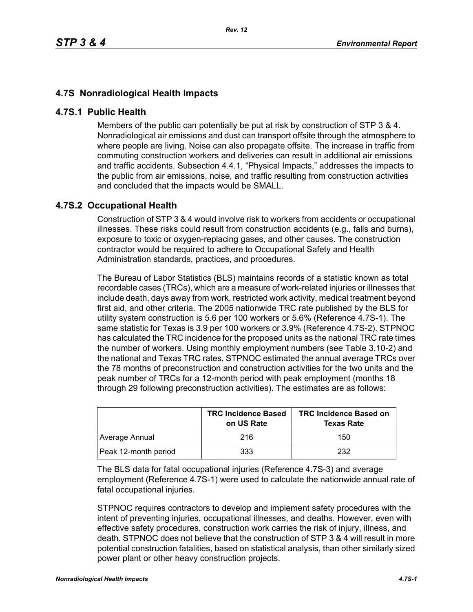## **4.7S Nonradiological Health Impacts**

## **4.7S.1 Public Health**

Members of the public can potentially be put at risk by construction of STP 3 & 4. Nonradiological air emissions and dust can transport offsite through the atmosphere to where people are living. Noise can also propagate offsite. The increase in traffic from commuting construction workers and deliveries can result in additional air emissions and traffic accidents. Subsection 4.4.1, "Physical Impacts," addresses the impacts to the public from air emissions, noise, and traffic resulting from construction activities and concluded that the impacts would be SMALL.

## **4.7S.2 Occupational Health**

Construction of STP 3 & 4 would involve risk to workers from accidents or occupational illnesses. These risks could result from construction accidents (e.g., falls and burns), exposure to toxic or oxygen-replacing gases, and other causes. The construction contractor would be required to adhere to Occupational Safety and Health Administration standards, practices, and procedures.

The Bureau of Labor Statistics (BLS) maintains records of a statistic known as total recordable cases (TRCs), which are a measure of work-related injuries or illnesses that include death, days away from work, restricted work activity, medical treatment beyond first aid, and other criteria. The 2005 nationwide TRC rate published by the BLS for utility system construction is 5.6 per 100 workers or 5.6% (Reference 4.7S-1). The same statistic for Texas is 3.9 per 100 workers or 3.9% (Reference 4.7S-2). STPNOC has calculated the TRC incidence for the proposed units as the national TRC rate times the number of workers. Using monthly employment numbers (see Table 3.10-2) and the national and Texas TRC rates, STPNOC estimated the annual average TRCs over the 78 months of preconstruction and construction activities for the two units and the peak number of TRCs for a 12-month period with peak employment (months 18 through 29 following preconstruction activities). The estimates are as follows:

|                      | <b>TRC Incidence Based</b><br>on US Rate | <b>TRC Incidence Based on</b><br><b>Texas Rate</b> |
|----------------------|------------------------------------------|----------------------------------------------------|
| Average Annual       | 216                                      | 150                                                |
| Peak 12-month period | 333                                      | 232                                                |

The BLS data for fatal occupational injuries (Reference 4.7S-3) and average employment (Reference 4.7S-1) were used to calculate the nationwide annual rate of fatal occupational injuries.

STPNOC requires contractors to develop and implement safety procedures with the intent of preventing injuries, occupational illnesses, and deaths. However, even with effective safety procedures, construction work carries the risk of injury, illness, and death. STPNOC does not believe that the construction of STP 3 & 4 will result in more potential construction fatalities, based on statistical analysis, than other similarly sized power plant or other heavy construction projects.